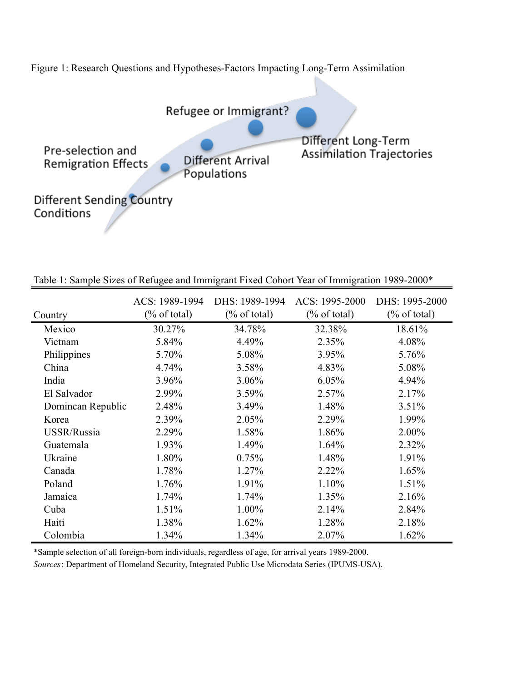

| Country           | ACS: 1989-1994<br>$(\% \text{ of total})$ | DHS: 1989-1994<br>$(\% \text{ of total})$ | ACS: 1995-2000<br>$(\%$ of total) | DHS: 1995-2000<br>$(\%$ of total) |
|-------------------|-------------------------------------------|-------------------------------------------|-----------------------------------|-----------------------------------|
| Mexico            | 30.27%                                    | 34.78%                                    | 32.38%                            | 18.61%                            |
| Vietnam           | 5.84%                                     | 4.49%                                     | 2.35%                             | 4.08%                             |
| Philippines       | 5.70%                                     | 5.08%                                     | 3.95%                             | 5.76%                             |
| China             | 4.74%                                     | 3.58%                                     | 4.83%                             | 5.08%                             |
| India             | 3.96%                                     | 3.06%                                     | 6.05%                             | 4.94%                             |
| El Salvador       | 2.99%                                     | 3.59%                                     | 2.57%                             | 2.17%                             |
| Domincan Republic | 2.48%                                     | 3.49%                                     | 1.48%                             | 3.51%                             |
| Korea             | 2.39%                                     | 2.05%                                     | 2.29%                             | 1.99%                             |
| USSR/Russia       | 2.29%                                     | 1.58%                                     | 1.86%                             | 2.00%                             |
| Guatemala         | 1.93%                                     | 1.49%                                     | 1.64%                             | 2.32%                             |
| Ukraine           | 1.80%                                     | 0.75%                                     | 1.48%                             | 1.91%                             |
| Canada            | 1.78%                                     | 1.27%                                     | 2.22%                             | 1.65%                             |
| Poland            | 1.76%                                     | 1.91%                                     | 1.10%                             | 1.51%                             |
| Jamaica           | 1.74%                                     | 1.74%                                     | 1.35%                             | 2.16%                             |
| Cuba              | 1.51%                                     | 1.00%                                     | 2.14%                             | 2.84%                             |
| Haiti             | 1.38%                                     | 1.62%                                     | 1.28%                             | 2.18%                             |
| Colombia          | 1.34%                                     | 1.34%                                     | 2.07%                             | 1.62%                             |

Table 1: Sample Sizes of Refugee and Immigrant Fixed Cohort Year of Immigration 1989-2000\*

\*Sample selection of all foreign-born individuals, regardless of age, for arrival years 1989-2000.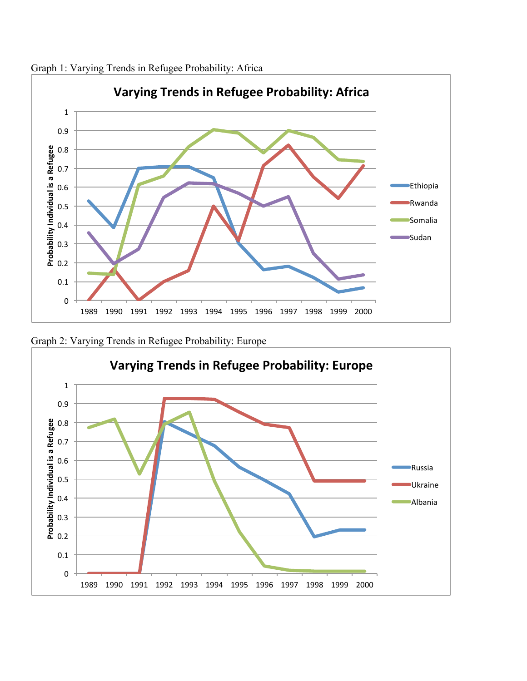

Graph 1: Varying Trends in Refugee Probability: Africa



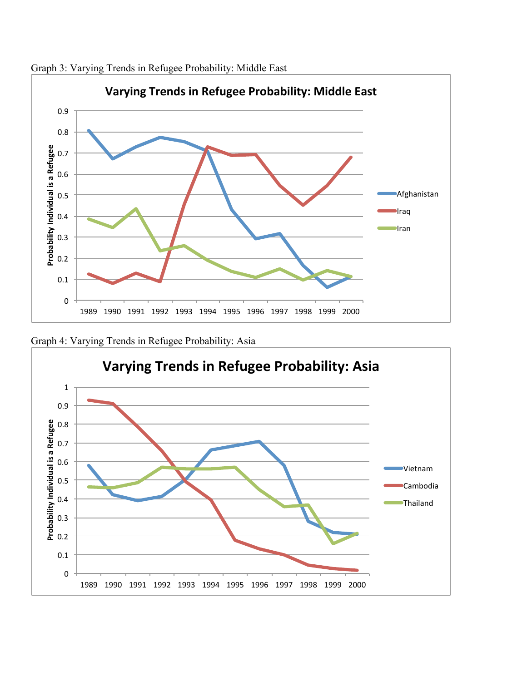

Graph 3: Varying Trends in Refugee Probability: Middle East



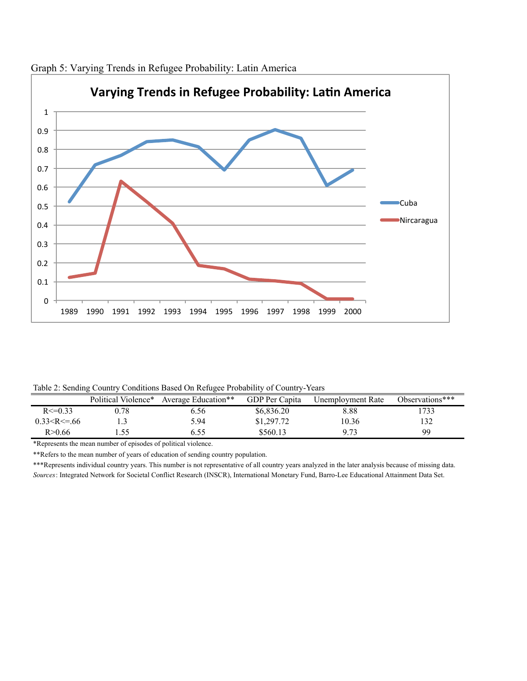

Graph 5: Varying Trends in Refugee Probability: Latin America

Table 2: Sending Country Conditions Based On Refugee Probability of Country-Years

|                   | Political Violence* | Average Education** | GDP Per Capita | Unemployment Rate | Observations*** |
|-------------------|---------------------|---------------------|----------------|-------------------|-----------------|
| $R \le 0.33$      | 0.78                | 0.56                | \$6.836.20     | 8.88              | .733            |
| $0.33 < R \le 66$ |                     | 5.94                | \$1,297.72     | 10.36             | 132             |
| R>0.66            |                     | 5.55                | \$560.13       | Q <sub>72</sub>   | 99              |

\*Represents the mean number of episodes of political violence.

\*\*Refers to the mean number of years of education of sending country population.

\*\*\*Represents individual country years. This number is not representative of all country years analyzed in the later analysis because of missing data. *Sources*: Integrated Network for Societal Conflict Research (INSCR), International Monetary Fund, Barro-Lee Educational Attainment Data Set.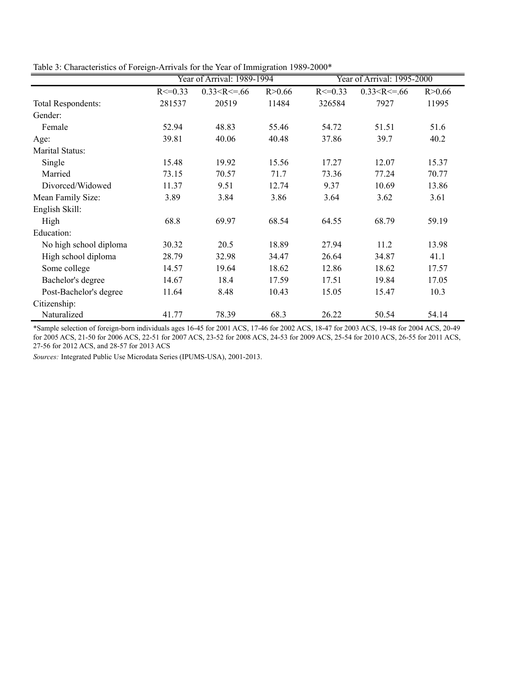Table 3: Characteristics of Foreign-Arrivals for the Year of Immigration 1989-2000\*

|                        |              | Year of Arrival: 1989-1994 |          |              | Year of Arrival: 1995-2000 |          |
|------------------------|--------------|----------------------------|----------|--------------|----------------------------|----------|
|                        | $R \le 0.33$ | $0.33 < R \le 66$          | R > 0.66 | $R \le 0.33$ | $0.33 < R \le 66$          | R > 0.66 |
| Total Respondents:     | 281537       | 20519                      | 11484    | 326584       | 7927                       | 11995    |
| Gender:                |              |                            |          |              |                            |          |
| Female                 | 52.94        | 48.83                      | 55.46    | 54.72        | 51.51                      | 51.6     |
| Age:                   | 39.81        | 40.06                      | 40.48    | 37.86        | 39.7                       | 40.2     |
| Marital Status:        |              |                            |          |              |                            |          |
| Single                 | 15.48        | 19.92                      | 15.56    | 17.27        | 12.07                      | 15.37    |
| Married                | 73.15        | 70.57                      | 71.7     | 73.36        | 77.24                      | 70.77    |
| Divorced/Widowed       | 11.37        | 9.51                       | 12.74    | 9.37         | 10.69                      | 13.86    |
| Mean Family Size:      | 3.89         | 3.84                       | 3.86     | 3.64         | 3.62                       | 3.61     |
| English Skill:         |              |                            |          |              |                            |          |
| High                   | 68.8         | 69.97                      | 68.54    | 64.55        | 68.79                      | 59.19    |
| Education:             |              |                            |          |              |                            |          |
| No high school diploma | 30.32        | 20.5                       | 18.89    | 27.94        | 11.2                       | 13.98    |
| High school diploma    | 28.79        | 32.98                      | 34.47    | 26.64        | 34.87                      | 41.1     |
| Some college           | 14.57        | 19.64                      | 18.62    | 12.86        | 18.62                      | 17.57    |
| Bachelor's degree      | 14.67        | 18.4                       | 17.59    | 17.51        | 19.84                      | 17.05    |
| Post-Bachelor's degree | 11.64        | 8.48                       | 10.43    | 15.05        | 15.47                      | 10.3     |
| Citizenship:           |              |                            |          |              |                            |          |
| Naturalized            | 41.77        | 78.39                      | 68.3     | 26.22        | 50.54                      | 54.14    |

\*Sample selection of foreign-born individuals ages 16-45 for 2001 ACS, 17-46 for 2002 ACS, 18-47 for 2003 ACS, 19-48 for 2004 ACS, 20-49 for 2005 ACS, 21-50 for 2006 ACS, 22-51 for 2007 ACS, 23-52 for 2008 ACS, 24-53 for 2009 ACS, 25-54 for 2010 ACS, 26-55 for 2011 ACS, 27-56 for 2012 ACS, and 28-57 for 2013 ACS

*Sources:* Integrated Public Use Microdata Series (IPUMS-USA), 2001-2013.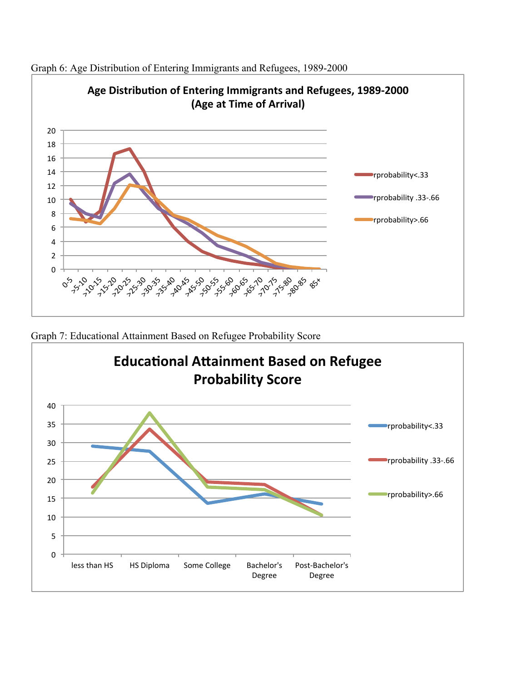

Graph 6: Age Distribution of Entering Immigrants and Refugees, 1989-2000

Graph 7: Educational Attainment Based on Refugee Probability Score

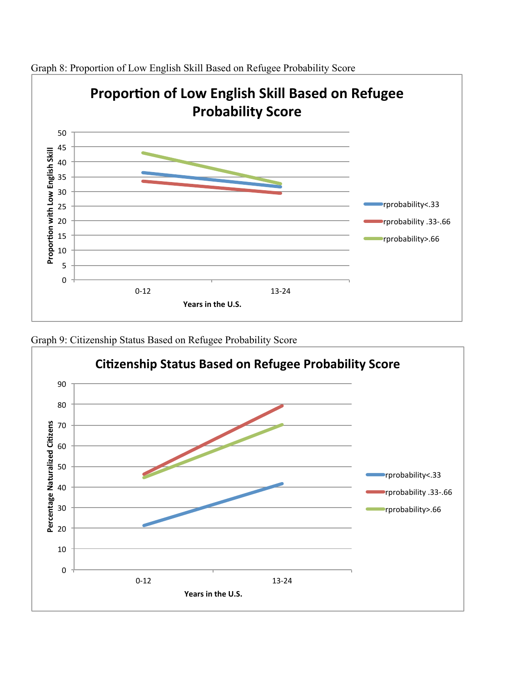

Graph 8: Proportion of Low English Skill Based on Refugee Probability Score



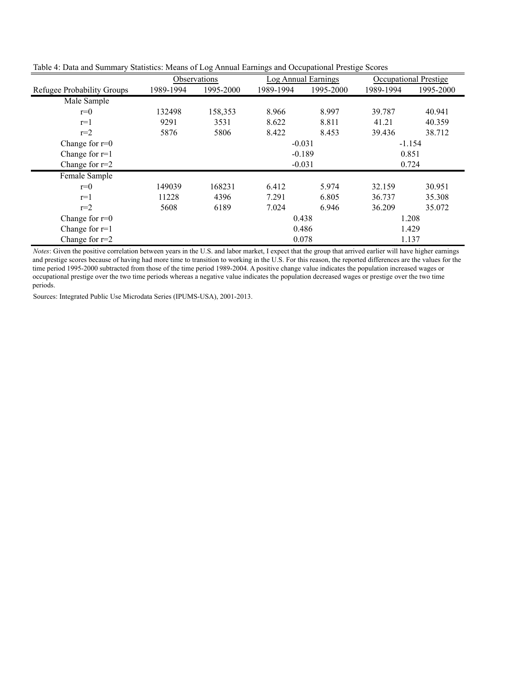|                            |           | Observations |           | Log Annual Earnings |           | Occupational Prestige |  |  |
|----------------------------|-----------|--------------|-----------|---------------------|-----------|-----------------------|--|--|
| Refugee Probability Groups | 1989-1994 | 1995-2000    | 1989-1994 | 1995-2000           | 1989-1994 | 1995-2000             |  |  |
| Male Sample                |           |              |           |                     |           |                       |  |  |
| $r=0$                      | 132498    | 158,353      | 8.966     | 8.997               | 39.787    | 40.941                |  |  |
| $r=1$                      | 9291      | 3531         | 8.622     | 8.811               | 41.21     | 40.359                |  |  |
| $r=2$                      | 5876      | 5806         | 8.422     | 8.453               | 39.436    | 38.712                |  |  |
| Change for $r=0$           |           |              | $-0.031$  |                     | $-1.154$  |                       |  |  |
| Change for $r=1$           |           |              |           | $-0.189$            | 0.851     |                       |  |  |
| Change for $r=2$           |           |              |           | $-0.031$            | 0.724     |                       |  |  |
| Female Sample              |           |              |           |                     |           |                       |  |  |
| $r=0$                      | 149039    | 168231       | 6.412     | 5.974               | 32.159    | 30.951                |  |  |
| $r=1$                      | 11228     | 4396         | 7.291     | 6.805               | 36.737    | 35.308                |  |  |
| $r=2$                      | 5608      | 6189         | 7.024     | 6.946               | 36.209    | 35.072                |  |  |
| Change for $r=0$           |           |              |           | 0.438               | 1.208     |                       |  |  |
| Change for $r=1$           |           |              |           | 0.486               | 1.429     |                       |  |  |
| Change for $r=2$           |           |              | 0.078     | 1.137               |           |                       |  |  |

Table 4: Data and Summary Statistics: Means of Log Annual Earnings and Occupational Prestige Scores

*Notes*: Given the positive correlation between years in the U.S. and labor market, I expect that the group that arrived earlier will have higher earnings and prestige scores because of having had more time to transition to working in the U.S. For this reason, the reported differences are the values for the time period 1995-2000 subtracted from those of the time period 1989-2004. A positive change value indicates the population increased wages or occupational prestige over the two time periods whereas a negative value indicates the population decreased wages or prestige over the two time periods.

Sources: Integrated Public Use Microdata Series (IPUMS-USA), 2001-2013.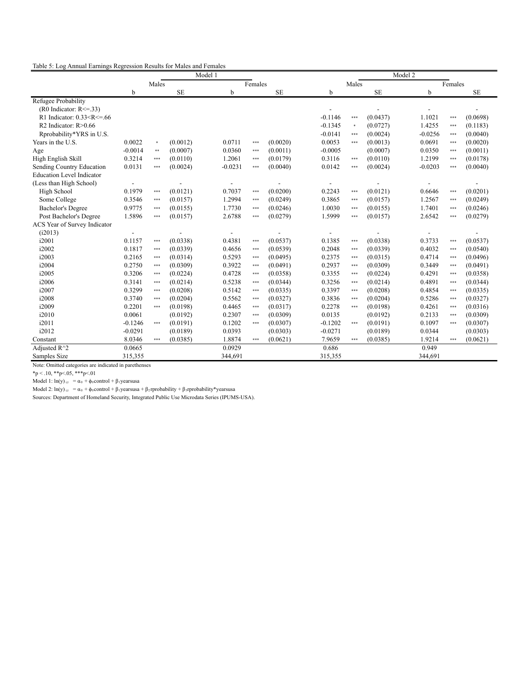|  | Table 5: Log Annual Earnings Regression Results for Males and Females |  |
|--|-----------------------------------------------------------------------|--|
|  |                                                                       |  |

|                                  |             |        |           | Model 1   |         |           |           | Model 2 |           |             |         |           |  |  |  |
|----------------------------------|-------------|--------|-----------|-----------|---------|-----------|-----------|---------|-----------|-------------|---------|-----------|--|--|--|
|                                  |             | Males  |           |           | Females |           |           | Males   |           |             | Females |           |  |  |  |
|                                  | $\mathbf b$ |        | <b>SE</b> | b         |         | <b>SE</b> | b         |         | <b>SE</b> | $\mathbf b$ |         | <b>SE</b> |  |  |  |
| Refugee Probability              |             |        |           |           |         |           |           |         |           |             |         |           |  |  |  |
| $(R0$ Indicator: $R \le 33$      |             |        |           |           |         |           |           |         |           |             |         |           |  |  |  |
| R1 Indicator: $0.33 < R < = .66$ |             |        |           |           |         |           | $-0.1146$ | ***     | (0.0437)  | 1.1021      | $***$   | (0.0698)  |  |  |  |
| R2 Indicator: R>0.66             |             |        |           |           |         |           | $-0.1345$ | $\ast$  | (0.0727)  | 1.4255      | $***$   | (0.1183)  |  |  |  |
| Rprobability*YRS in U.S.         |             |        |           |           |         |           | $-0.0141$ | ***     | (0.0024)  | $-0.0256$   | $***$   | (0.0040)  |  |  |  |
| Years in the U.S.                | 0.0022      | $\ast$ | (0.0012)  | 0.0711    | ***     | (0.0020)  | 0.0053    | ***     | (0.0013)  | 0.0691      | $***$   | (0.0020)  |  |  |  |
| Age                              | $-0.0014$   | $***$  | (0.0007)  | 0.0360    | ***     | (0.0011)  | $-0.0005$ |         | (0.0007)  | 0.0350      | $***$   | (0.0011)  |  |  |  |
| High English Skill               | 0.3214      | $***$  | (0.0110)  | 1.2061    | ***     | (0.0179)  | 0.3116    | ***     | (0.0110)  | 1.2199      | $***$   | (0.0178)  |  |  |  |
| Sending Country Education        | 0.0131      | $***$  | (0.0024)  | $-0.0231$ | ***     | (0.0040)  | 0.0142    | ***     | (0.0024)  | $-0.0203$   | $***$   | (0.0040)  |  |  |  |
| <b>Education Level Indicator</b> |             |        |           |           |         |           |           |         |           |             |         |           |  |  |  |
| (Less than High School)          |             |        |           |           |         |           |           |         |           |             |         |           |  |  |  |
| High School                      | 0.1979      | ***    | (0.0121)  | 0.7037    | ***     | (0.0200)  | 0.2243    | ***     | (0.0121)  | 0.6646      | $***$   | (0.0201)  |  |  |  |
| Some College                     | 0.3546      | $***$  | (0.0157)  | 1.2994    | ***     | (0.0249)  | 0.3865    | ***     | (0.0157)  | 1.2567      | $***$   | (0.0249)  |  |  |  |
| <b>Bachelor's Degree</b>         | 0.9775      | ***    | (0.0155)  | 1.7730    | ***     | (0.0246)  | 1.0030    | ***     | (0.0155)  | 1.7401      | $***$   | (0.0246)  |  |  |  |
| Post Bachelor's Degree           | 1.5896      | ***    | (0.0157)  | 2.6788    | ***     | (0.0279)  | 1.5999    | ***     | (0.0157)  | 2.6542      | $***$   | (0.0279)  |  |  |  |
| ACS Year of Survey Indicator     |             |        |           |           |         |           |           |         |           |             |         |           |  |  |  |
| (i2013)                          |             |        |           |           |         |           |           |         |           |             |         |           |  |  |  |
| i2001                            | 0.1157      | ***    | (0.0338)  | 0.4381    | ***     | (0.0537)  | 0.1385    | ***     | (0.0338)  | 0.3733      | ***     | (0.0537)  |  |  |  |
| i2002                            | 0.1817      | ***    | (0.0339)  | 0.4656    | ***     | (0.0539)  | 0.2048    | ***     | (0.0339)  | 0.4032      | $***$   | (0.0540)  |  |  |  |
| i2003                            | 0.2165      | ***    | (0.0314)  | 0.5293    | ***     | (0.0495)  | 0.2375    | ***     | (0.0315)  | 0.4714      | $***$   | (0.0496)  |  |  |  |
| i2004                            | 0.2750      | ***    | (0.0309)  | 0.3922    | ***     | (0.0491)  | 0.2937    | ***     | (0.0309)  | 0.3449      | $***$   | (0.0491)  |  |  |  |
| i2005                            | 0.3206      | ***    | (0.0224)  | 0.4728    | ***     | (0.0358)  | 0.3355    | ***     | (0.0224)  | 0.4291      | $***$   | (0.0358)  |  |  |  |
| i2006                            | 0.3141      | ***    | (0.0214)  | 0.5238    | ***     | (0.0344)  | 0.3256    | ***     | (0.0214)  | 0.4891      | $***$   | (0.0344)  |  |  |  |
| i2007                            | 0.3299      | ***    | (0.0208)  | 0.5142    | ***     | (0.0335)  | 0.3397    | ***     | (0.0208)  | 0.4854      | $***$   | (0.0335)  |  |  |  |
| i2008                            | 0.3740      | ***    | (0.0204)  | 0.5562    | ***     | (0.0327)  | 0.3836    | ***     | (0.0204)  | 0.5286      | $***$   | (0.0327)  |  |  |  |
| i2009                            | 0.2201      | ***    | (0.0198)  | 0.4465    | ***     | (0.0317)  | 0.2278    | $***$   | (0.0198)  | 0.4261      | $***$   | (0.0316)  |  |  |  |
| i2010                            | 0.0061      |        | (0.0192)  | 0.2307    | ***     | (0.0309)  | 0.0135    |         | (0.0192)  | 0.2133      | $***$   | (0.0309)  |  |  |  |
| i2011                            | $-0.1246$   | $***$  | (0.0191)  | 0.1202    | ***     | (0.0307)  | $-0.1202$ | $***$   | (0.0191)  | 0.1097      | $***$   | (0.0307)  |  |  |  |
| i2012                            | $-0.0291$   |        | (0.0189)  | 0.0393    |         | (0.0303)  | $-0.0271$ |         | (0.0189)  | 0.0344      |         | (0.0303)  |  |  |  |
| Constant                         | 8.0346      | $***$  | (0.0385)  | 1.8874    | ***     | (0.0621)  | 7.9659    | ***     | (0.0385)  | 1.9214      | $***$   | (0.0621)  |  |  |  |
| Adjusted $R^2$                   | 0.0665      |        |           | 0.0929    |         |           | 0.686     |         |           | 0.949       |         |           |  |  |  |
| Samples Size                     | 315,355     |        |           | 344,691   |         |           | 315,355   |         |           | 344,691     |         |           |  |  |  |

Note: Omitted categories are indicated in parethenses

 $*p < .10, **p < .05, **p < .01$ 

Model 1:  $ln(y)_{i,t} = \alpha_0 + \phi_0$ control + β<sub>1</sub>yearsusa

Model 2:  $ln(y)_{i,t} = \alpha_0 + \phi_0$ control + β<sub>1</sub>yearsusa + β<sub>2</sub> rprobability + β<sub>3</sub> rprobability\*yearsusa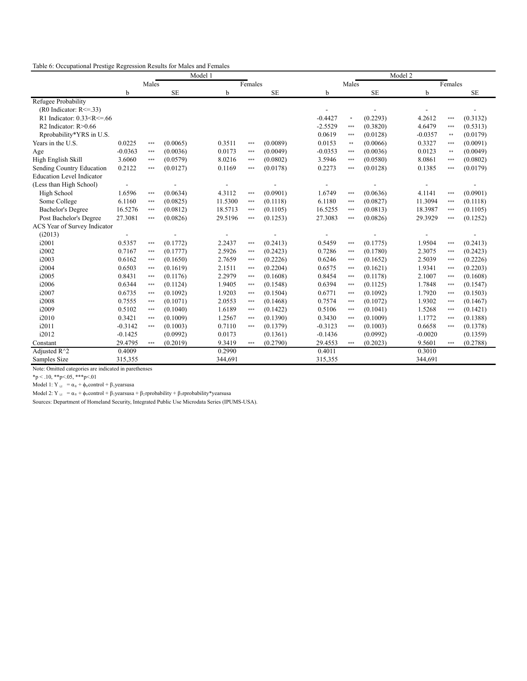|  | Table 6: Occupational Prestige Regression Results for Males and Females |  |
|--|-------------------------------------------------------------------------|--|
|  |                                                                         |  |

|                                  |           |       |           | Model 1 |         |           |           |        | Model 2   |             |          |           |
|----------------------------------|-----------|-------|-----------|---------|---------|-----------|-----------|--------|-----------|-------------|----------|-----------|
|                                  |           | Males |           |         | Females |           |           | Males  |           |             | Females  |           |
|                                  | b         |       | <b>SE</b> | b       |         | <b>SE</b> | b         |        | <b>SE</b> | $\mathbf b$ |          | <b>SE</b> |
| Refugee Probability              |           |       |           |         |         |           |           |        |           |             |          |           |
| $(R0$ Indicator: $R \le 33$ )    |           |       |           |         |         |           |           |        |           |             |          |           |
| R1 Indicator: $0.33 < R < = .66$ |           |       |           |         |         |           | $-0.4427$ | $\ast$ | (0.2293)  | 4.2612      | ***      | (0.3132)  |
| R2 Indicator: $R > 0.66$         |           |       |           |         |         |           | $-2.5529$ | $***$  | (0.3820)  | 4.6479      | ***      | (0.5313)  |
| Rprobability*YRS in U.S.         |           |       |           |         |         |           | 0.0619    | ***    | (0.0128)  | $-0.0357$   | $**$     | (0.0179)  |
| Years in the U.S.                | 0.0225    | ***   | (0.0065)  | 0.3511  | $***$   | (0.0089)  | 0.0153    | $***$  | (0.0066)  | 0.3327      | ***      | (0.0091)  |
| Age                              | $-0.0363$ | $***$ | (0.0036)  | 0.0173  | $***$   | (0.0049)  | $-0.0353$ | ***    | (0.0036)  | 0.0123      | $\pm\pm$ | (0.0049)  |
| High English Skill               | 3.6060    | $***$ | (0.0579)  | 8.0216  | $***$   | (0.0802)  | 3.5946    | $***$  | (0.0580)  | 8.0861      | ***      | (0.0802)  |
| Sending Country Education        | 0.2122    | $***$ | (0.0127)  | 0.1169  | $***$   | (0.0178)  | 0.2273    | $***$  | (0.0128)  | 0.1385      | ***      | (0.0179)  |
| <b>Education Level Indicator</b> |           |       |           |         |         |           |           |        |           |             |          |           |
| (Less than High School)          |           |       |           |         |         |           |           |        |           |             |          |           |
| High School                      | 1.6596    | $***$ | (0.0634)  | 4.3112  | $***$   | (0.0901)  | 1.6749    | $***$  | (0.0636)  | 4.1141      | ***      | (0.0901)  |
| Some College                     | 6.1160    | $***$ | (0.0825)  | 11.5300 | $***$   | (0.1118)  | 6.1180    | ***    | (0.0827)  | 11.3094     | ***      | (0.1118)  |
| <b>Bachelor's Degree</b>         | 16.5276   | $***$ | (0.0812)  | 18.5713 | $***$   | (0.1105)  | 16.5255   | $***$  | (0.0813)  | 18.3987     | ***      | (0.1105)  |
| Post Bachelor's Degree           | 27.3081   | $***$ | (0.0826)  | 29.5196 | $***$   | (0.1253)  | 27.3083   | ***    | (0.0826)  | 29.3929     | ***      | (0.1252)  |
| ACS Year of Survey Indicator     |           |       |           |         |         |           |           |        |           |             |          |           |
| (i2013)                          |           |       |           |         |         |           |           |        |           |             |          |           |
| i2001                            | 0.5357    | $***$ | (0.1772)  | 2.2437  | $***$   | (0.2413)  | 0.5459    | $***$  | (0.1775)  | 1.9504      | ***      | (0.2413)  |
| i2002                            | 0.7167    | $***$ | (0.1777)  | 2.5926  | $***$   | (0.2423)  | 0.7286    | $***$  | (0.1780)  | 2.3075      | ***      | (0.2423)  |
| i2003                            | 0.6162    | $***$ | (0.1650)  | 2.7659  | $***$   | (0.2226)  | 0.6246    | $***$  | (0.1652)  | 2.5039      | ***      | (0.2226)  |
| i2004                            | 0.6503    | $***$ | (0.1619)  | 2.1511  | $***$   | (0.2204)  | 0.6575    | $***$  | (0.1621)  | 1.9341      | ***      | (0.2203)  |
| i2005                            | 0.8431    | $***$ | (0.1176)  | 2.2979  | ***     | (0.1608)  | 0.8454    | ***    | (0.1178)  | 2.1007      | ***      | (0.1608)  |
| i2006                            | 0.6344    | $***$ | (0.1124)  | 1.9405  | $***$   | (0.1548)  | 0.6394    | $***$  | (0.1125)  | 1.7848      | ***      | (0.1547)  |
| i2007                            | 0.6735    | $***$ | (0.1092)  | 1.9203  | $***$   | (0.1504)  | 0.6771    | $***$  | (0.1092)  | 1.7920      | ***      | (0.1503)  |
| i2008                            | 0.7555    | $***$ | (0.1071)  | 2.0553  | $***$   | (0.1468)  | 0.7574    | $***$  | (0.1072)  | 1.9302      | ***      | (0.1467)  |
| i2009                            | 0.5102    | $***$ | (0.1040)  | 1.6189  | $***$   | (0.1422)  | 0.5106    | $***$  | (0.1041)  | 1.5268      | ***      | (0.1421)  |
| i2010                            | 0.3421    | $***$ | (0.1009)  | 1.2567  | $***$   | (0.1390)  | 0.3430    | $***$  | (0.1009)  | 1.1772      | ***      | (0.1388)  |
| i2011                            | $-0.3142$ | $***$ | (0.1003)  | 0.7110  | $***$   | (0.1379)  | $-0.3123$ | ***    | (0.1003)  | 0.6658      | ***      | (0.1378)  |
| i2012                            | $-0.1425$ |       | (0.0992)  | 0.0173  |         | (0.1361)  | $-0.1436$ |        | (0.0992)  | $-0.0020$   |          | (0.1359)  |
| Constant                         | 29.4795   | $***$ | (0.2019)  | 9.3419  | $***$   | (0.2790)  | 29.4553   | ***    | (0.2023)  | 9.5601      | ***      | (0.2788)  |
| Adjusted $R^2$                   | 0.4009    |       |           | 0.2990  |         |           | 0.4011    |        |           | 0.3010      |          |           |
| Samples Size                     | 315,355   |       |           | 344,691 |         |           | 315,355   |        |           | 344.691     |          |           |

Note: Omitted categories are indicated in parethenses

 $np < 10$ ,  $*^{*}p < 05$ ,  $*^{*}p < 01$ 

Model 1: Y  $_{i,t}$  =  $\alpha_0$  +  $\phi_0$  control +  $\beta_1$ yearsusa

Model 2: Y<sub>i,t</sub> =  $\alpha_0$  +  $\phi_0$ control +  $\beta_1$ yearsusa +  $\beta_2$ rprobability +  $\beta_3$ rprobability\*yearsusa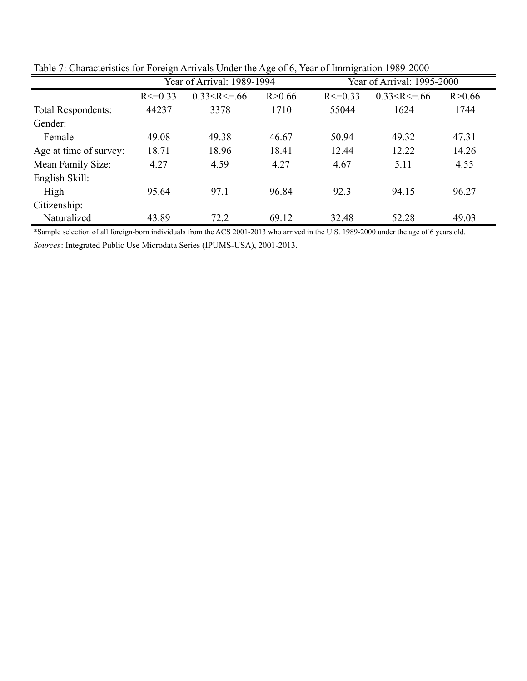|                        |              |                            | ۔ ب      |              |                            |          |  |  |  |
|------------------------|--------------|----------------------------|----------|--------------|----------------------------|----------|--|--|--|
|                        |              | Year of Arrival: 1989-1994 |          |              | Year of Arrival: 1995-2000 |          |  |  |  |
|                        | $R \le 0.33$ | $0.33 < R \le 66$          | R > 0.66 | $R \le 0.33$ | $0.33 < R \le 66$          | R > 0.66 |  |  |  |
| Total Respondents:     | 44237        | 3378                       | 1710     | 55044        | 1624                       | 1744     |  |  |  |
| Gender:                |              |                            |          |              |                            |          |  |  |  |
| Female                 | 49.08        | 49.38                      | 46.67    | 50.94        | 49.32                      | 47.31    |  |  |  |
| Age at time of survey: | 18.71        | 18.96                      | 18.41    | 12.44        | 12.22                      | 14.26    |  |  |  |
| Mean Family Size:      | 4.27         | 4.59                       | 4.27     | 4.67         | 5.11                       | 4.55     |  |  |  |
| English Skill:         |              |                            |          |              |                            |          |  |  |  |
| High                   | 95.64        | 97.1                       | 96.84    | 92.3         | 94.15                      | 96.27    |  |  |  |
| Citizenship:           |              |                            |          |              |                            |          |  |  |  |
| Naturalized            | 43.89        | 72.2                       | 69.12    | 32.48        | 52.28                      | 49.03    |  |  |  |

Table 7: Characteristics for Foreign Arrivals Under the Age of 6, Year of Immigration 1989-2000

*Sources*: Integrated Public Use Microdata Series (IPUMS-USA), 2001-2013. \*Sample selection of all foreign-born individuals from the ACS 2001-2013 who arrived in the U.S. 1989-2000 under the age of 6 years old.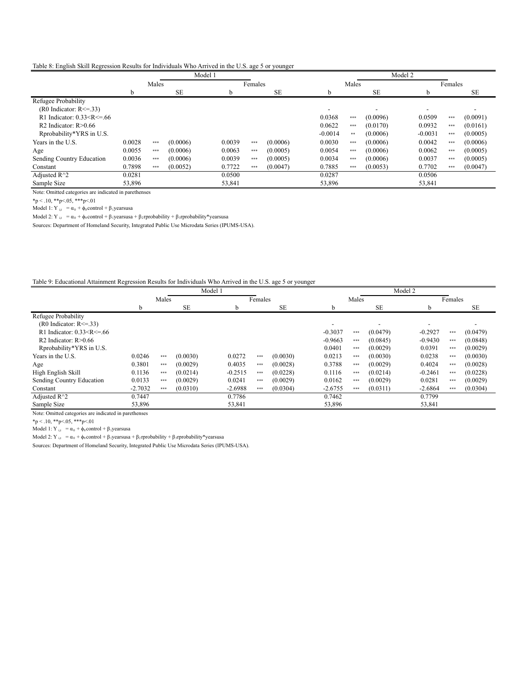Table 8: English Skill Regression Results for Individuals Who Arrived in the U.S. age 5 or younger

|                                 |        |       |          | Model 1 |         |         |          | Model 2 |           |       |           |  |           |       |          |  |
|---------------------------------|--------|-------|----------|---------|---------|---------|----------|---------|-----------|-------|-----------|--|-----------|-------|----------|--|
|                                 |        | Males |          |         |         | Females |          |         |           | Males |           |  | Females   |       |          |  |
|                                 | b      |       | SE       |         | SE<br>b |         |          |         | h.        |       | <b>SE</b> |  | h.        |       | SE       |  |
| Refugee Probability             |        |       |          |         |         |         |          |         |           |       |           |  |           |       |          |  |
| $(R0$ Indicator: $R \le 33$ )   |        |       |          |         |         |         |          |         |           |       |           |  |           |       |          |  |
| R1 Indicator: $0.33 < R < = 66$ |        |       |          |         |         |         |          |         | 0.0368    | ***   | (0.0096)  |  | 0.0509    | $***$ | (0.0091) |  |
| R2 Indicator: $R > 0.66$        |        |       |          |         |         |         |          |         | 0.0622    | $***$ | (0.0170)  |  | 0.0932    | $***$ | (0.0161) |  |
| Rprobability*YRS in U.S.        |        |       |          |         |         |         |          |         | $-0.0014$ | $***$ | (0.0006)  |  | $-0.0031$ | $***$ | (0.0005) |  |
| Years in the U.S.               | 0.0028 | $***$ | (0.0006) |         | 0.0039  | $***$   | (0.0006) |         | 0.0030    | $***$ | (0.0006)  |  | 0.0042    | $***$ | (0.0006) |  |
| Age                             | 0.0055 | $***$ | (0.0006) |         | 0.0063  | $***$   | (0.0005) |         | 0.0054    | $***$ | (0.0006)  |  | 0.0062    | $***$ | (0.0005) |  |
| Sending Country Education       | 0.0036 | $***$ | (0.0006) |         | 0.0039  | $***$   | (0.0005) |         | 0.0034    | $***$ | (0.0006)  |  | 0.0037    | $***$ | (0.0005) |  |
| Constant                        | 0.7898 | $***$ | (0.0052) |         | 0.7722  | $***$   | (0.0047) |         | 0.7885    | $***$ | (0.0053)  |  | 0.7702    | $***$ | (0.0047) |  |
| Adjusted $R^2$                  | 0.0281 |       |          |         | 0.0500  |         |          |         | 0.0287    |       |           |  | 0.0506    |       |          |  |
| Sample Size                     | 53,896 |       |          |         | 53,841  |         |          |         | 53,896    |       |           |  | 53,841    |       |          |  |

Note: Omitted categories are indicated in parethenses

 ${\rm sp} < .10, {\rm sp} < .05, {\rm sp} < .01$ 

Model 1:  $Y_{i,t} = \alpha_0 + \phi_0$ control + β<sub>1</sub>yearsusa

Model 2: Y <sub>i,t</sub> = α<sub>0</sub> + φ<sub>0</sub> control + β<sub>1</sub>yearsusa + β<sub>2</sub>rprobability + β<sub>3</sub>rprobability\*yearsusa

Sources: Department of Homeland Security, Integrated Public Use Microdata Series (IPUMS-USA).

## Table 9: Educational Attainment Regression Results for Individuals Who Arrived in the U.S. age 5 or younger

|                                                                                                                                                                                                                                                   | Model 1   |       |           |  |           |         |           |  |           |       | Model 2   |  |           |       |          |  |  |  |
|---------------------------------------------------------------------------------------------------------------------------------------------------------------------------------------------------------------------------------------------------|-----------|-------|-----------|--|-----------|---------|-----------|--|-----------|-------|-----------|--|-----------|-------|----------|--|--|--|
|                                                                                                                                                                                                                                                   |           | Males |           |  |           | Females |           |  | Males     |       |           |  | Females   |       |          |  |  |  |
|                                                                                                                                                                                                                                                   | h         |       | <b>SE</b> |  |           |         | <b>SE</b> |  | b         |       | <b>SE</b> |  | b         |       | SE       |  |  |  |
| Refugee Probability                                                                                                                                                                                                                               |           |       |           |  |           |         |           |  |           |       |           |  |           |       |          |  |  |  |
| $(R0$ Indicator: $R \le 33$ )                                                                                                                                                                                                                     |           |       |           |  |           |         |           |  |           |       |           |  |           |       |          |  |  |  |
| R1 Indicator: 0.33 <r<=.66< td=""><td></td><td></td><td></td><td></td><td></td><td></td><td></td><td></td><td><math>-0.3037</math></td><td>***</td><td>(0.0479)</td><td></td><td><math>-0.2927</math></td><td>***</td><td>(0.0479)</td></r<=.66<> |           |       |           |  |           |         |           |  | $-0.3037$ | ***   | (0.0479)  |  | $-0.2927$ | ***   | (0.0479) |  |  |  |
| R2 Indicator: $R > 0.66$                                                                                                                                                                                                                          |           |       |           |  |           |         |           |  | $-0.9663$ | $***$ | (0.0845)  |  | $-0.9430$ | ***   | (0.0848) |  |  |  |
| Rprobability*YRS in U.S.                                                                                                                                                                                                                          |           |       |           |  |           |         |           |  | 0.0401    | $***$ | (0.0029)  |  | 0.0391    | $***$ | (0.0029) |  |  |  |
| Years in the U.S.                                                                                                                                                                                                                                 | 0.0246    | ***   | (0.0030)  |  | 0.0272    | ***     | (0.0030)  |  | 0.0213    | $***$ | (0.0030)  |  | 0.0238    | ***   | (0.0030) |  |  |  |
| Age                                                                                                                                                                                                                                               | 0.3801    | $***$ | (0.0029)  |  | 0.4035    | ***     | (0.0028)  |  | 0.3788    | $***$ | (0.0029)  |  | 0.4024    | ***   | (0.0028) |  |  |  |
| High English Skill                                                                                                                                                                                                                                | 0.1136    | $***$ | (0.0214)  |  | $-0.2515$ | $***$   | (0.0228)  |  | 0.1116    | $***$ | (0.0214)  |  | $-0.2461$ | $***$ | (0.0228) |  |  |  |
| Sending Country Education                                                                                                                                                                                                                         | 0.0133    | $***$ | (0.0029)  |  | 0.0241    | $***$   | (0.0029)  |  | 0.0162    | $***$ | (0.0029)  |  | 0.0281    | $***$ | (0.0029) |  |  |  |
| Constant                                                                                                                                                                                                                                          | $-2.7032$ | $***$ | (0.0310)  |  | $-2.6988$ | $***$   | (0.0304)  |  | $-2.6755$ | $***$ | (0.0311)  |  | $-2.6864$ | $***$ | (0.0304) |  |  |  |
| Adjusted $R^2$                                                                                                                                                                                                                                    | 0.7447    |       |           |  | 0.7786    |         |           |  | 0.7462    |       |           |  | 0.7799    |       |          |  |  |  |
| Sample Size                                                                                                                                                                                                                                       | 53,896    |       |           |  | 53,841    |         |           |  | 53,896    |       |           |  | 53,841    |       |          |  |  |  |

Note: Omitted categories are indicated in parethenses

 $*p<.10, **p<.05, **p<.01$ 

Model 1:  $Y_{i,t} = \alpha_0 + \phi_0$ control +  $\beta_1$ yearsusa

Model 2: Y<sub>i,t</sub> = α<sub>0</sub> + φ<sub>0</sub> control + β<sub>1</sub> yearsusa + β<sub>2</sub> rprobability + β<sub>3</sub> rprobability\* yearsusa